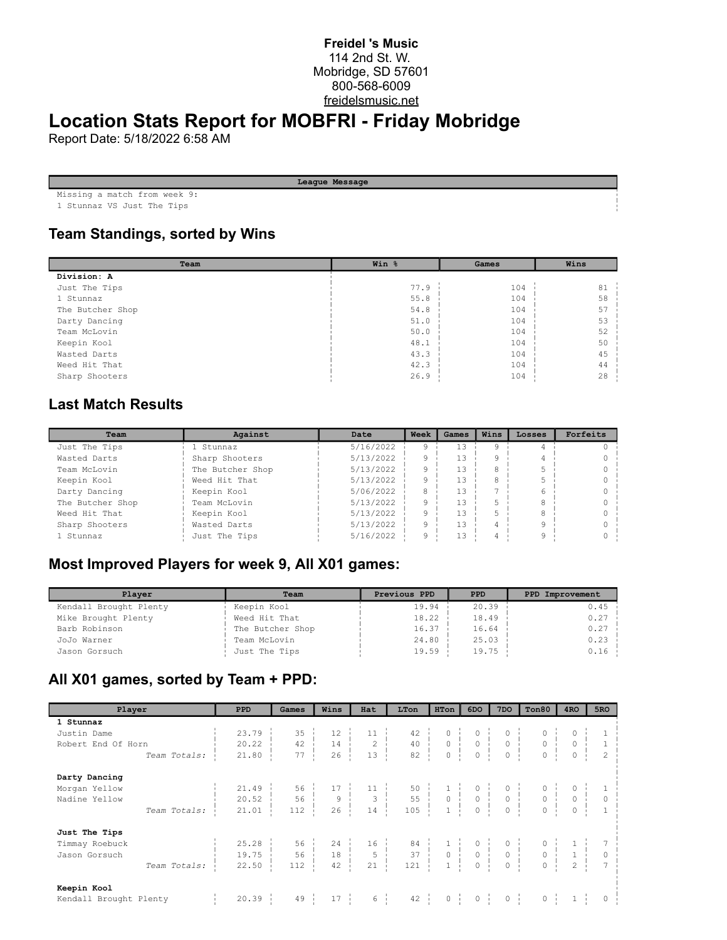#### **Freidel 's Music** 114 2nd St. W. Mobridge, SD 57601 800-568-6009 freidelsmusic.net

# **Location Stats Report for MOBFRI - Friday Mobridge**

Report Date: 5/18/2022 6:58 AM

| League Message                   |
|----------------------------------|
| Missing a match from week 9:     |
| 1 Officers - 170 Trial Mass Miss |

1 Stunnaz VS Just The Tips

### **Team Standings, sorted by Wins**

| Team             | Win % | Games | Wins |
|------------------|-------|-------|------|
| Division: A      |       |       |      |
| Just The Tips    | 77.9  | 104   | 81   |
| 1 Stunnaz        | 55.8  | 104   | 58   |
| The Butcher Shop | 54.8  | 104   | 57   |
| Darty Dancing    | 51.0  | 104   | 53   |
| Team McLovin     | 50.0  | 104   | 52   |
| Keepin Kool      | 48.1  | 104   | 50   |
| Wasted Darts     | 43.3  | 104   | 45   |
| Weed Hit That    | 42.3  | 104   | 44   |
| Sharp Shooters   | 26.9  | 104   | 28   |

#### **Last Match Results**

| Team             | Against          | Date      | Week | Games | Wins | Losses | Forfeits |
|------------------|------------------|-----------|------|-------|------|--------|----------|
| Just The Tips    | 1 Stunnaz        | 5/16/2022 |      | 13    |      |        |          |
| Wasted Darts     | Sharp Shooters   | 5/13/2022 |      | 13    |      |        |          |
| Team McLovin     | The Butcher Shop | 5/13/2022 |      | 13    |      |        |          |
| Keepin Kool      | Weed Hit That    | 5/13/2022 |      | 13    |      |        |          |
| Darty Dancing    | Keepin Kool      | 5/06/2022 |      | 13    |      |        |          |
| The Butcher Shop | Team McLovin     | 5/13/2022 |      | 13    |      |        |          |
| Weed Hit That    | Keepin Kool      | 5/13/2022 |      | 13    |      |        |          |
| Sharp Shooters   | Wasted Darts     | 5/13/2022 |      | 13    |      |        |          |
| 1 Stunnaz        | Just The Tips    | 5/16/2022 |      | 13    |      |        |          |

## **Most Improved Players for week 9, All X01 games:**

| Player                 | Team             | Previous PPD | <b>PPD</b> | PPD Improvement |
|------------------------|------------------|--------------|------------|-----------------|
| Kendall Brought Plenty | Keepin Kool      | 19.94        | 20.39      | 0.45            |
| Mike Brought Plenty    | Weed Hit That    | 18.22        | 18.49      | 0.27            |
| Barb Robinson          | The Butcher Shop | 16.37        | 16.64      | 0.27            |
| JoJo Warner            | Team McLovin     | 24.80        | 25.03      | 0.23            |
| Jason Gorsuch          | Just The Tips    | 19.59        | 19.75      | 0.16            |

### **All X01 games, sorted by Team + PPD:**

| Player                 | <b>PPD</b> | Games                                                                                                                                                                                                                                                                                                                                                                                                         | Wins             | Hat             | LTon | HTon             | 6DO         | 7DO              | Ton80 | 4RO     | 5RO |
|------------------------|------------|---------------------------------------------------------------------------------------------------------------------------------------------------------------------------------------------------------------------------------------------------------------------------------------------------------------------------------------------------------------------------------------------------------------|------------------|-----------------|------|------------------|-------------|------------------|-------|---------|-----|
| 1 Stunnaz              |            |                                                                                                                                                                                                                                                                                                                                                                                                               |                  |                 |      |                  |             |                  |       |         |     |
| Justin Dame            |            | $\begin{array}{c cccccc} 23.79 & \hspace{10mm} & 35 & \hspace{10mm} & 12 & \hspace{10mm} & 11 & \hspace{10mm} & 42 & \hspace{10mm} & 0 & \hspace{10mm} & 0 & \hspace{10mm} & 0 & \hspace{10mm} & 0 & \hspace{10mm} & 1 \\ 20.22 & \hspace{10mm} & 42 & \hspace{10mm} & 14 & \hspace{10mm} & 2 & \hspace{10mm} & 40 & \hspace{10mm} & 0 & \hspace{10mm} & 0 & \hspace{10mm} &$                                 |                  |                 |      |                  |             |                  |       |         |     |
| Robert End Of Horn     |            |                                                                                                                                                                                                                                                                                                                                                                                                               |                  |                 |      |                  |             |                  |       |         |     |
| Team Totals:           |            |                                                                                                                                                                                                                                                                                                                                                                                                               |                  |                 |      |                  |             |                  |       |         |     |
| Darty Dancing          |            |                                                                                                                                                                                                                                                                                                                                                                                                               |                  |                 |      |                  |             |                  |       |         |     |
| Morgan Yellow          |            |                                                                                                                                                                                                                                                                                                                                                                                                               |                  |                 |      |                  |             |                  |       |         |     |
| Nadine Yellow          |            | $\begin{array}{c cccccc} 21.49 & & & 56 & & 17 & & 11 & & 50 & & 1 & & 0 & & 0 & & 0 & & 1 \\ 20.52 & & & 56 & & 9 & & 3 & & 55 & & 0 & & 0 & & 0 & & 0 & & 0 & & 0 \\ 21.01 & & & 112 & & 26 & & 14 & & 105 & & 1 & & 0 & & 0 & & 0 & & 0 & & 1 \end{array}$                                                                                                                                                 |                  |                 |      |                  |             |                  |       |         |     |
| Team Totals:           |            |                                                                                                                                                                                                                                                                                                                                                                                                               |                  |                 |      |                  |             |                  |       |         |     |
| Just The Tips          |            |                                                                                                                                                                                                                                                                                                                                                                                                               |                  |                 |      |                  |             |                  |       |         |     |
| Timmay Roebuck         |            | $\begin{array}{cccccccccccc} 25.28 & \vdots & 56 & \vdots & 24 & \vdots & 16 & \vdots & 84 & \vdots & 1 & \vdots & 0 & \vdots & 0 & \vdots & 0 & \vdots & 1 & \vdots & 7 \\ 19.75 & \vdots & 56 & \vdots & 18 & \vdots & 5 & \vdots & 37 & \vdots & 0 & \vdots & 0 & \vdots & 0 & \vdots & 1 & \vdots & 0 \\ 22.50 & \vdots & 112 & \vdots & 42 & \vdots & 21 & \vdots & 121 & \vdots & 1 & \vdots & 0 & \vd$ |                  |                 |      |                  |             |                  |       |         |     |
| Jason Gorsuch          |            |                                                                                                                                                                                                                                                                                                                                                                                                               |                  |                 |      |                  |             |                  |       |         |     |
| Team Totals:           |            |                                                                                                                                                                                                                                                                                                                                                                                                               |                  |                 |      |                  |             |                  |       |         |     |
| Keepin Kool            |            |                                                                                                                                                                                                                                                                                                                                                                                                               |                  |                 |      |                  |             |                  |       |         |     |
| Kendall Brought Plenty | 20.39      | 49                                                                                                                                                                                                                                                                                                                                                                                                            | $17 \frac{1}{2}$ | $6 \frac{1}{1}$ | 42   | $0 \quad \vdots$ | $0 \quad 1$ | $0 \quad \vdots$ |       | $0 \t1$ |     |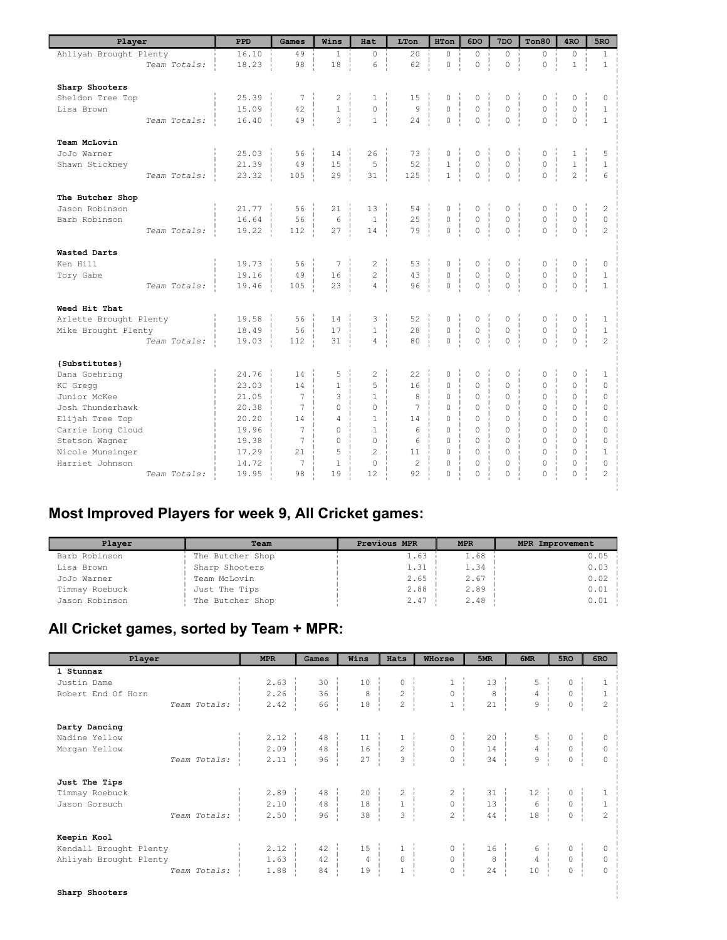| Player                 | PPD   | Games          | Wins           | Hat                | LTon           | HTon           | 6DO                | 7 <sub>DO</sub> | Ton80                    | 4 <sub>RO</sub>     | 5RO            |
|------------------------|-------|----------------|----------------|--------------------|----------------|----------------|--------------------|-----------------|--------------------------|---------------------|----------------|
| Ahliyah Brought Plenty | 16.10 | 49             | $\mathbf{1}$   | $\circ$            | 20             | $\circ$        | $\Omega$           | $\circ$         | $\circ$                  | $\circ$             | $\mathbf{1}$   |
| Team Totals:           | 18.23 | 98             | 18             | 6                  | 62             | $\circ$        | $\mathbb O$        | $\mathbb O$     | $\circ$<br>$\mathbf{I}$  | $\mathbf{1}$        | $1\,$          |
| Sharp Shooters         |       |                |                |                    |                |                |                    |                 |                          |                     |                |
| Sheldon Tree Top       | 25.39 | $\overline{7}$ | 2              | $\mathbf{1}$       | 15             | 0              | 0                  | 0               | 0                        | $\circ$             | 0              |
| Lisa Brown             | 15.09 | 42             | $\mathbf{1}$   | $\mathbf 0$        | 9              | $\circ$        | $\mathbb O$        | $\circ$         | $\mathbb O$              | $\circ$             | $\mathbf{1}$   |
| Team Totals:           | 16.40 | 49             | 3              | $\mathbf{1}$       | 24             | $\circ$        | $\mathbf 0$        | $\circ$         | $\Omega$                 | $\circ$             | $\mathbf{1}$   |
|                        |       |                |                |                    |                |                |                    |                 |                          |                     |                |
| Team McLovin           |       |                |                |                    |                |                |                    |                 |                          |                     |                |
| JoJo Warner            | 25.03 | 56             | 14             | 26                 | 73             | 0              | 0                  | 0               | 0                        | $\mathbf{1}$        | 5              |
| Shawn Stickney         | 21.39 | 49             | 15             | 5                  | 52             | $\mathbf{1}$   | $\circ$            | $\circ$         | $\overline{0}$           | $\,1\,$             | $\mathbf{1}$   |
| Team Totals:           | 23.32 | 105            | 29             | 31                 | 125            | $\mathbf{1}$   | $\circ$            | $\circ$         | $\overline{0}$           | $\overline{c}$      | 6              |
| The Butcher Shop       |       |                |                |                    |                |                |                    |                 |                          |                     |                |
| Jason Robinson         | 21.77 | 56             | 21             | 13                 | 54             | 0              | 0                  | 0               | 0                        | $\mathbb O$         | $\overline{c}$ |
| Barb Robinson          | 16.64 | 56             | 6              | $\mathbf{1}$       | 25             | $\mathbb O$    | $\mathbf 0$        | $\mathbb O$     | ÷<br>$\mathsf{O}\xspace$ | $\circ$             | $\circ$        |
| Team Totals:           | 19.22 | 112            | 27             | 14                 | 79             | $\overline{0}$ | $\Omega$           | $\theta$        | $\Omega$                 | $\Omega$            | $\overline{c}$ |
| Wasted Darts           |       |                |                |                    |                |                |                    |                 |                          |                     |                |
| Ken Hill               | 19.73 | 56             | 7              | $\mathbf{2}$       | 53             |                | 0                  | 0               | 0                        | $\circ$             | 0              |
| Tory Gabe              | 19.16 | 49             | 16             | $\overline{c}$     | 43             | 0<br>$\circ$   | $\circ$            | $\circ$         | $\circ$                  | $\mathsf{O}\xspace$ | $\mathbf{1}$   |
|                        | 19.46 | 105            | 23             | $\overline{4}$     | 96             | $\circ$        | $\mathbf 0$        | $\circ$         | $\circ$                  | $\circ$             | $\mathbf{1}$   |
| Team Totals:           |       |                |                |                    |                |                |                    |                 |                          |                     |                |
| Weed Hit That          |       |                |                |                    |                |                |                    |                 |                          |                     |                |
| Arlette Brought Plenty | 19.58 | 56             | 14             | 3                  | 52             | 0              | 0                  | 0               | 0                        | 0                   | $\mathbf{1}$   |
| Mike Brought Plenty    | 18.49 | 56             | 17             | $\mathbf{1}$<br>÷. | 28             | $\overline{0}$ | $\circ$<br>÷.<br>÷ | $\circ$         | ÷<br>$\mathsf{O}\xspace$ | $\circ$<br>÷.       | $\mathbf{1}$   |
| Team Totals:           | 19.03 | 112            | 31             | $\overline{4}$     | 80             | $\circ$        | $\overline{0}$     | $\overline{0}$  | $\circ$                  | $\circ$             | $\overline{c}$ |
| {Substitutes}          |       |                |                |                    |                |                |                    |                 |                          |                     |                |
| Dana Goehring          | 24.76 | 14             | 5              | $\overline{c}$     | 22             | $\mathbb O$    | $\circ$            | 0               | 0                        | $\mathbb O$         | $\mathbf{1}$   |
| KC Gregg               | 23.03 | 14             | $\mathbf{1}$   | 5                  | 16             | $\Omega$       | $\Omega$           | $\Omega$        | $\Omega$                 | $\Omega$            | $\Omega$       |
| Junior McKee           | 21.05 | 7              | 3              | $\mathbf{1}$       | 8              | $\Omega$       | $\Omega$           | $\Omega$        | $\Omega$                 | $\Omega$            | $\Omega$       |
| Josh Thunderhawk       | 20.38 | $\overline{7}$ | $\Omega$       | $\circ$            | 7              | $\Omega$       | $\Omega$           | $\mathbf{0}$    | 0                        | $\circ$             | $\mathbf 0$    |
| Elijah Tree Top        | 20.20 | 14             | $\overline{4}$ | $\mathbf{1}$       | 14             | $\Omega$       | $\Omega$           | $\Omega$        | $\Omega$                 | $\Omega$            | $\mathbf 0$    |
| Carrie Long Cloud      | 19.96 | $\overline{7}$ | $\Omega$       | $\mathbf{1}$       | 6              | $\Omega$       | $\Omega$           | $\Omega$        | $\Omega$                 | $\Omega$            | $\Omega$       |
| Stetson Wagner         | 19.38 | 7              | $\Omega$       | $\Omega$           | 6              | $\Omega$       | $\Omega$           | $\Omega$        | $\Omega$                 | $\Omega$            | $\Omega$       |
| Nicole Munsinger       | 17.29 | 21             | 5              | $\overline{c}$     | 11             | $\Omega$       | $\Omega$           | $\Omega$        | $\Omega$                 | $\Omega$            | $\mathbf{1}$   |
| Harriet Johnson        | 14.72 | 7              | $\mathbf{1}$   | $\circ$            | $\overline{c}$ | $\Omega$       | $\Omega$           | $\circ$         | $\overline{0}$           | $\circ$             | $\circ$        |
| Team Totals:           | 19.95 | 98             | 19             | 12                 | 92             | $\Omega$       | 0                  | $\Omega$        | $\Omega$                 | $\Omega$            | $\overline{c}$ |
|                        |       |                |                |                    |                |                |                    |                 |                          |                     |                |

## **Most Improved Players for week 9, All Cricket games:**

| Plaver         | Team             | Previous MPR | <b>MPR</b> | <b>MPR Improvement</b> |
|----------------|------------------|--------------|------------|------------------------|
| Barb Robinson  | The Butcher Shop | 1.63         | 1.68       | 0.05                   |
| Lisa Brown     | Sharp Shooters   | 1.31         | 1.34       | 0.03                   |
| JoJo Warner    | Team McLovin     | 2.65         | 2.67       | 0.02                   |
| Timmay Roebuck | Just The Tips    | 2.88         | 2.89       | 0.01                   |
| Jason Robinson | The Butcher Shop | 2.47         | 2.48       | 0.01                   |

## **All Cricket games, sorted by Team + MPR:**

| Player                 | <b>MPR</b>           | Games           | Wins                                                  | Hats                                       | WHorse                                | 5MR                           | 6MR                                                          | 5RO                 | 6RO            |
|------------------------|----------------------|-----------------|-------------------------------------------------------|--------------------------------------------|---------------------------------------|-------------------------------|--------------------------------------------------------------|---------------------|----------------|
| 1 Stunnaz              |                      |                 |                                                       |                                            |                                       |                               |                                                              |                     |                |
| Justin Dame            | 2.63                 | 30              | $10$                                                  | 0                                          | $\begin{array}{c} 1 \\ 0 \end{array}$ | 13                            |                                                              | $\mathsf{O}\xspace$ | $\mathbf{1}$   |
| Robert End Of Horn     | 2, 26                | 36 <sup>1</sup> | $\,$ 8 $\,$                                           | $\begin{array}{c} 2 \\ 2 \end{array}$      |                                       | $\,8\,$                       | $\frac{5}{4}$                                                | $\mathsf{O}\xspace$ | $\mathbf{1}$   |
| Team Totals:           | 2.42                 | 66              | 18                                                    |                                            |                                       | $\overline{21}$               | $\overline{9}$                                               | $\circ$             | $\overline{c}$ |
| Darty Dancing          |                      |                 |                                                       |                                            |                                       |                               |                                                              |                     |                |
| Nadine Yellow          | 2.12                 | 48:             | $11\,$                                                | $\begin{array}{c} 1\\ 2\\ 3 \end{array}$   | $\circ$                               | 20                            | $\begin{array}{c} 5 \\ 4 \\ 9 \end{array}$                   | $\mathsf{O}\xspace$ | $\circ$        |
| Morgan Yellow          | $2.09 -$             | $48 - 1$        | 16                                                    |                                            | $0 \quad \vdots$                      | 14                            |                                                              | $\circ$             | $\mathbb O$    |
| Team Totals:           | 2.11                 | 96              | 27                                                    |                                            | $\Omega$                              | 34                            |                                                              | $\overline{0}$      | $\circ$        |
| Just The Tips          |                      |                 |                                                       |                                            |                                       |                               |                                                              |                     |                |
| Timmay Roebuck         | $2.89$ $\frac{1}{2}$ | $48 - 1$        | 20                                                    | $\begin{array}{c} 2 \\ 1 \\ 3 \end{array}$ | $\begin{array}{c} 2 \\ 0 \end{array}$ | 31                            | $\begin{array}{c c}\n12 & \cdots \\ 6 & \cdots\n\end{array}$ | 0                   | $\mathbf{1}$   |
| Jason Gorsuch          | $2.10 -1$            | $48 -$          | $\begin{array}{c c} 18 &   & \\ 38 &   & \end{array}$ |                                            |                                       | $13 \frac{1}{2}$              |                                                              | $\circ$             | $\,1\,$        |
| Team Totals:           | 2.50                 | 96              | 38                                                    |                                            | $\overline{c}$                        | 44                            | 18                                                           | $\circ$             | $\overline{c}$ |
| Keepin Kool            |                      |                 |                                                       |                                            |                                       |                               |                                                              |                     |                |
| Kendall Brought Plenty | 2.12                 | 42              | 15                                                    | $1 \quad$                                  | $\circ$                               | $16$ $\overline{\phantom{0}}$ | 6                                                            | 0                   | 0              |
| Ahliyah Brought Plenty | 1.63                 | 42              | $\frac{4}{1}$                                         | 0 <sup>1</sup>                             | 0 <sup>1</sup>                        | 8 <sup>1</sup>                | $4 \frac{1}{2}$                                              | $\circ$             | $\circ$        |
| Team Totals:           | 1.88                 | 84              | 19                                                    | $\mathbf{1}$                               | $\mathbb O$                           | 24                            | 10                                                           | $\circ$             | $\circ$        |
| Sharp Shooters         |                      |                 |                                                       |                                            |                                       |                               |                                                              |                     |                |